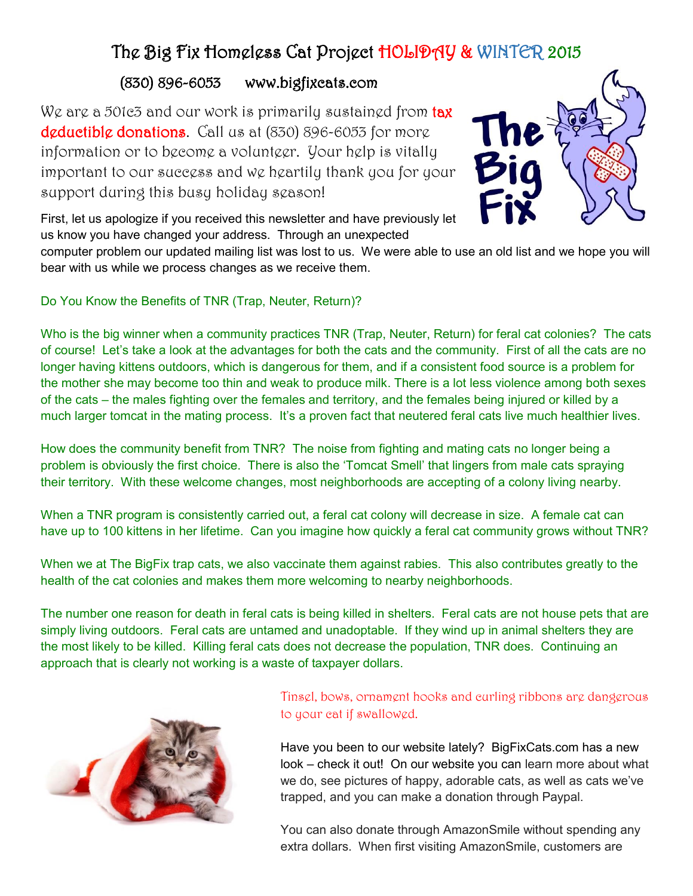# The Big Fix Homeless Cat Project HOLIDAY & WINTER 2015

## (830) 896-6053 www.bigfixcats.com

We are a 501c3 and our work is primarily sustained from tax deductible donations. Call us at (830) 896-6053 for more information or to become a volunteer. Your help is vitally important to our success and we heartily thank you for your support during this busy holiday season!



First, let us apologize if you received this newsletter and have previously let us know you have changed your address. Through an unexpected

computer problem our updated mailing list was lost to us. We were able to use an old list and we hope you will bear with us while we process changes as we receive them.

#### Do You Know the Benefits of TNR (Trap, Neuter, Return)?

Who is the big winner when a community practices TNR (Trap, Neuter, Return) for feral cat colonies? The cats of course! Let's take a look at the advantages for both the cats and the community. First of all the cats are no longer having kittens outdoors, which is dangerous for them, and if a consistent food source is a problem for the mother she may become too thin and weak to produce milk. There is a lot less violence among both sexes of the cats – the males fighting over the females and territory, and the females being injured or killed by a much larger tomcat in the mating process. It's a proven fact that neutered feral cats live much healthier lives.

How does the community benefit from TNR? The noise from fighting and mating cats no longer being a problem is obviously the first choice. There is also the 'Tomcat Smell' that lingers from male cats spraying their territory. With these welcome changes, most neighborhoods are accepting of a colony living nearby.

When a TNR program is consistently carried out, a feral cat colony will decrease in size. A female cat can have up to 100 kittens in her lifetime. Can you imagine how quickly a feral cat community grows without TNR?

When we at The BigFix trap cats, we also vaccinate them against rabies. This also contributes greatly to the health of the cat colonies and makes them more welcoming to nearby neighborhoods.

The number one reason for death in feral cats is being killed in shelters. Feral cats are not house pets that are simply living outdoors. Feral cats are untamed and unadoptable. If they wind up in animal shelters they are the most likely to be killed. Killing feral cats does not decrease the population, TNR does. Continuing an approach that is clearly not working is a waste of taxpayer dollars.



### Tinsel, bows, ornament hooks and curling ribbons are dangerous to your cat if swallowed.

Have you been to our website lately? BigFixCats.com has a new look – check it out! On our website you can learn more about what we do, see pictures of happy, adorable cats, as well as cats we've trapped, and you can make a donation through Paypal.

You can also donate through AmazonSmile without spending any extra dollars. When first visiting AmazonSmile, customers are